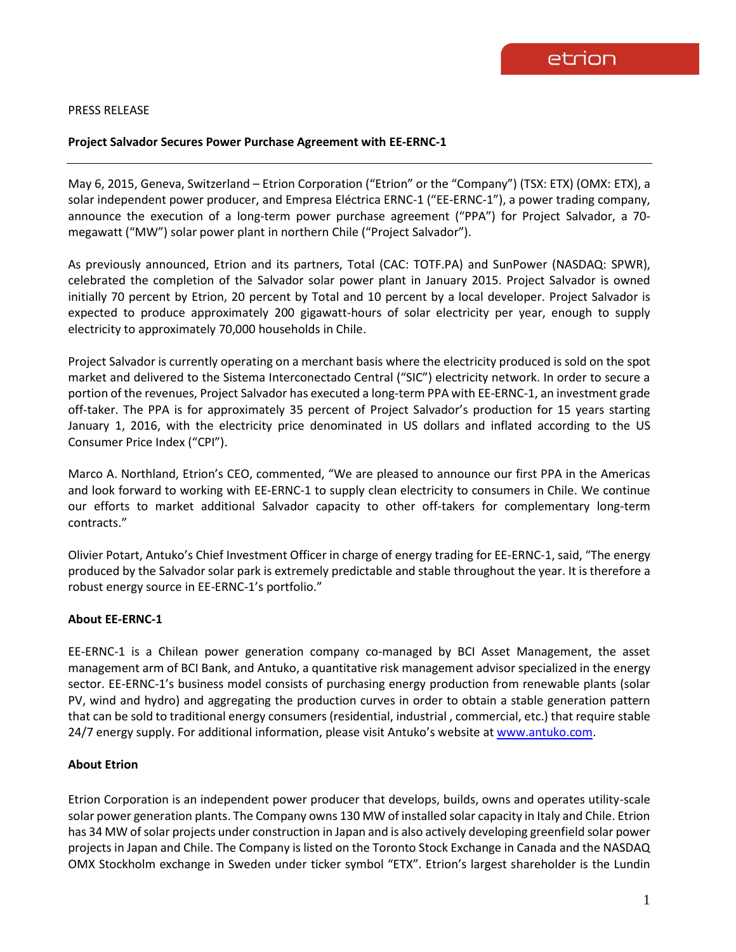### PRESS RELEASE

### **Project Salvador Secures Power Purchase Agreement with EE-ERNC-1**

May 6, 2015, Geneva, Switzerland – Etrion Corporation ("Etrion" or the "Company") (TSX: ETX) (OMX: ETX), a solar independent power producer, and Empresa Eléctrica ERNC-1 ("EE-ERNC-1"), a power trading company, announce the execution of a long-term power purchase agreement ("PPA") for Project Salvador, a 70 megawatt ("MW") solar power plant in northern Chile ("Project Salvador").

As previously announced, Etrion and its partners, Total (CAC: TOTF.PA) and SunPower (NASDAQ: SPWR), celebrated the completion of the Salvador solar power plant in January 2015. Project Salvador is owned initially 70 percent by Etrion, 20 percent by Total and 10 percent by a local developer. Project Salvador is expected to produce approximately 200 gigawatt-hours of solar electricity per year, enough to supply electricity to approximately 70,000 households in Chile.

Project Salvador is currently operating on a merchant basis where the electricity produced is sold on the spot market and delivered to the Sistema Interconectado Central ("SIC") electricity network. In order to secure a portion of the revenues, Project Salvador has executed a long-term PPA with EE-ERNC-1, an investment grade off-taker. The PPA is for approximately 35 percent of Project Salvador's production for 15 years starting January 1, 2016, with the electricity price denominated in US dollars and inflated according to the US Consumer Price Index ("CPI").

Marco A. Northland, Etrion's CEO, commented, "We are pleased to announce our first PPA in the Americas and look forward to working with EE-ERNC-1 to supply clean electricity to consumers in Chile. We continue our efforts to market additional Salvador capacity to other off-takers for complementary long-term contracts."

Olivier Potart, Antuko's Chief Investment Officer in charge of energy trading for EE-ERNC-1, said, "The energy produced by the Salvador solar park is extremely predictable and stable throughout the year. It is therefore a robust energy source in EE-ERNC-1's portfolio."

### **About EE-ERNC-1**

EE-ERNC-1 is a Chilean power generation company co-managed by BCI Asset Management, the asset management arm of BCI Bank, and Antuko, a quantitative risk management advisor specialized in the energy sector. EE-ERNC-1's business model consists of purchasing energy production from renewable plants (solar PV, wind and hydro) and aggregating the production curves in order to obtain a stable generation pattern that can be sold to traditional energy consumers (residential, industrial , commercial, etc.) that require stable 24/7 energy supply. For additional information, please visit Antuko's website at [www.antuko.com.](http://www.antuko.com/)

# **About Etrion**

Etrion Corporation is an independent power producer that develops, builds, owns and operates utility-scale solar power generation plants. The Company owns 130 MW of installed solar capacity in Italy and Chile. Etrion has 34 MW of solar projects under construction in Japan and is also actively developing greenfield solar power projects in Japan and Chile. The Company is listed on the Toronto Stock Exchange in Canada and the NASDAQ OMX Stockholm exchange in Sweden under ticker symbol "ETX". Etrion's largest shareholder is the Lundin